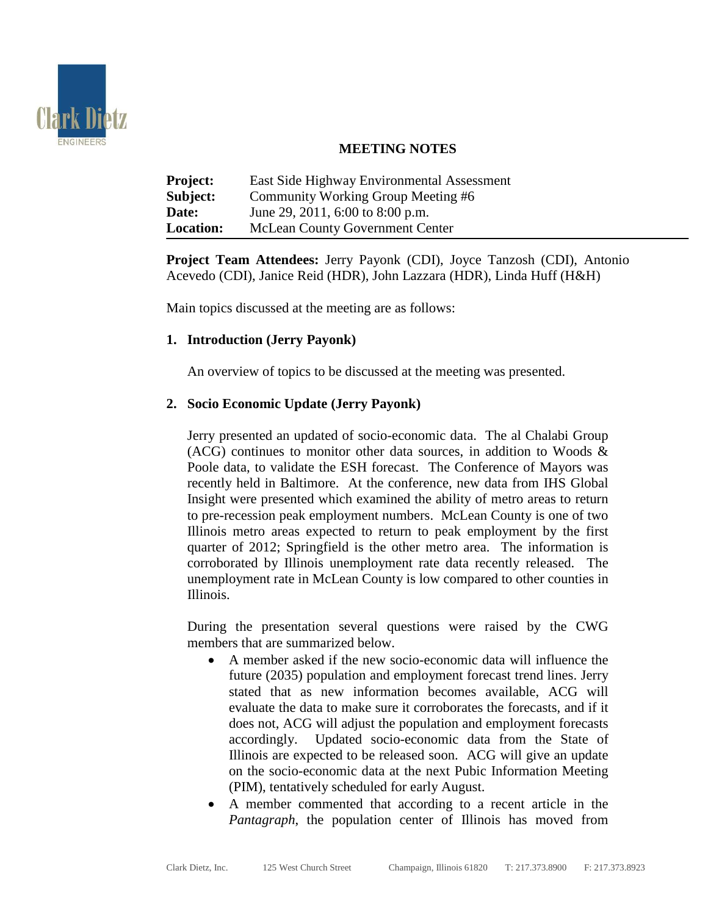

## **MEETING NOTES**

| <b>Project:</b>  | East Side Highway Environmental Assessment |
|------------------|--------------------------------------------|
| Subject:         | Community Working Group Meeting #6         |
| Date:            | June 29, 2011, 6:00 to 8:00 p.m.           |
| <b>Location:</b> | <b>McLean County Government Center</b>     |

**Project Team Attendees:** Jerry Payonk (CDI), Joyce Tanzosh (CDI), Antonio Acevedo (CDI), Janice Reid (HDR), John Lazzara (HDR), Linda Huff (H&H)

Main topics discussed at the meeting are as follows:

# **1. Introduction (Jerry Payonk)**

An overview of topics to be discussed at the meeting was presented.

### **2. Socio Economic Update (Jerry Payonk)**

Jerry presented an updated of socio-economic data. The al Chalabi Group (ACG) continues to monitor other data sources, in addition to Woods & Poole data, to validate the ESH forecast. The Conference of Mayors was recently held in Baltimore. At the conference, new data from IHS Global Insight were presented which examined the ability of metro areas to return to pre-recession peak employment numbers. McLean County is one of two Illinois metro areas expected to return to peak employment by the first quarter of 2012; Springfield is the other metro area. The information is corroborated by Illinois unemployment rate data recently released. The unemployment rate in McLean County is low compared to other counties in Illinois.

During the presentation several questions were raised by the CWG members that are summarized below.

- A member asked if the new socio-economic data will influence the future (2035) population and employment forecast trend lines. Jerry stated that as new information becomes available, ACG will evaluate the data to make sure it corroborates the forecasts, and if it does not, ACG will adjust the population and employment forecasts accordingly. Updated socio-economic data from the State of Illinois are expected to be released soon. ACG will give an update on the socio-economic data at the next Pubic Information Meeting (PIM), tentatively scheduled for early August.
- A member commented that according to a recent article in the *Pantagraph*, the population center of Illinois has moved from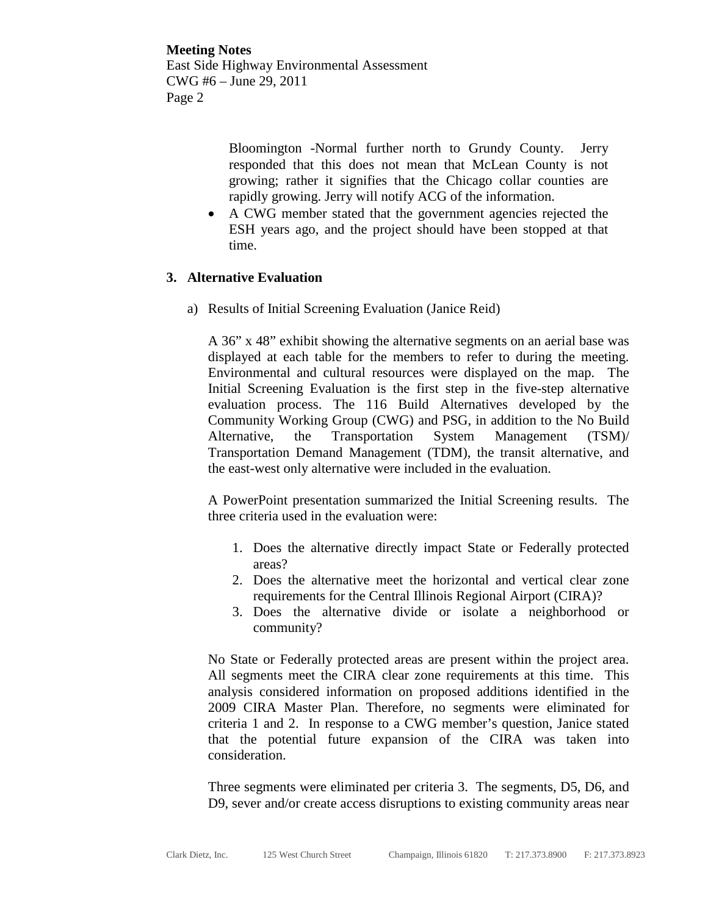> Bloomington -Normal further north to Grundy County. Jerry responded that this does not mean that McLean County is not growing; rather it signifies that the Chicago collar counties are rapidly growing. Jerry will notify ACG of the information.

• A CWG member stated that the government agencies rejected the ESH years ago, and the project should have been stopped at that time.

### **3. Alternative Evaluation**

a) Results of Initial Screening Evaluation (Janice Reid)

A 36" x 48" exhibit showing the alternative segments on an aerial base was displayed at each table for the members to refer to during the meeting. Environmental and cultural resources were displayed on the map. The Initial Screening Evaluation is the first step in the five-step alternative evaluation process. The 116 Build Alternatives developed by the Community Working Group (CWG) and PSG, in addition to the No Build Alternative, the Transportation System Management (TSM)/ Transportation Demand Management (TDM), the transit alternative, and the east-west only alternative were included in the evaluation.

A PowerPoint presentation summarized the Initial Screening results. The three criteria used in the evaluation were:

- 1. Does the alternative directly impact State or Federally protected areas?
- 2. Does the alternative meet the horizontal and vertical clear zone requirements for the Central Illinois Regional Airport (CIRA)?
- 3. Does the alternative divide or isolate a neighborhood or community?

No State or Federally protected areas are present within the project area. All segments meet the CIRA clear zone requirements at this time. This analysis considered information on proposed additions identified in the 2009 CIRA Master Plan. Therefore, no segments were eliminated for criteria 1 and 2. In response to a CWG member's question, Janice stated that the potential future expansion of the CIRA was taken into consideration.

Three segments were eliminated per criteria 3. The segments, D5, D6, and D9, sever and/or create access disruptions to existing community areas near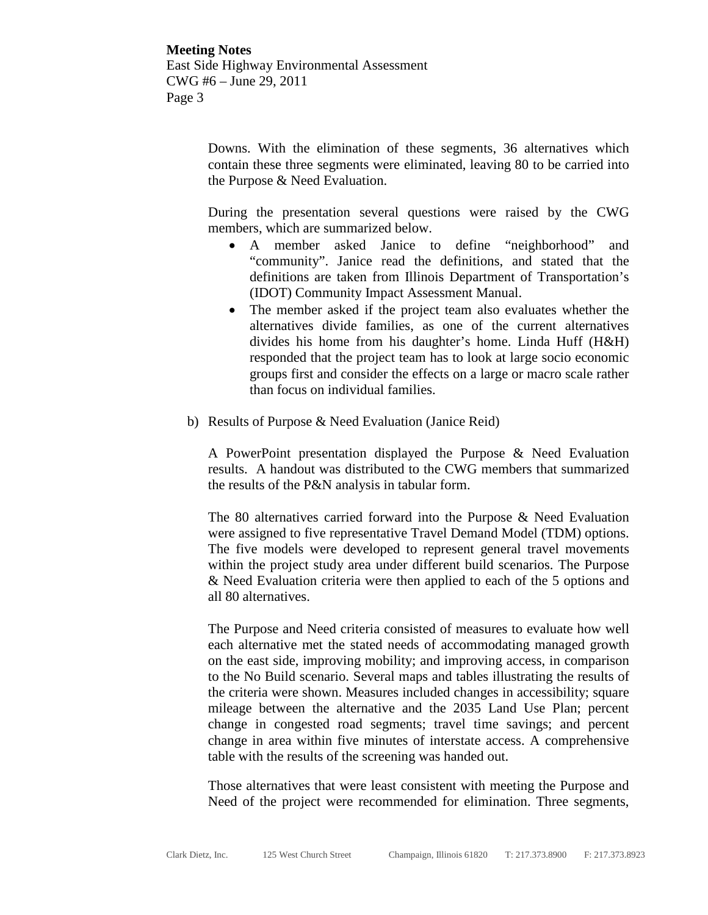> Downs. With the elimination of these segments, 36 alternatives which contain these three segments were eliminated, leaving 80 to be carried into the Purpose & Need Evaluation.

> During the presentation several questions were raised by the CWG members, which are summarized below.

- A member asked Janice to define "neighborhood" and "community". Janice read the definitions, and stated that the definitions are taken from Illinois Department of Transportation's (IDOT) Community Impact Assessment Manual.
- The member asked if the project team also evaluates whether the alternatives divide families, as one of the current alternatives divides his home from his daughter's home. Linda Huff (H&H) responded that the project team has to look at large socio economic groups first and consider the effects on a large or macro scale rather than focus on individual families.
- b) Results of Purpose & Need Evaluation (Janice Reid)

A PowerPoint presentation displayed the Purpose & Need Evaluation results. A handout was distributed to the CWG members that summarized the results of the P&N analysis in tabular form.

The 80 alternatives carried forward into the Purpose & Need Evaluation were assigned to five representative Travel Demand Model (TDM) options. The five models were developed to represent general travel movements within the project study area under different build scenarios. The Purpose & Need Evaluation criteria were then applied to each of the 5 options and all 80 alternatives.

The Purpose and Need criteria consisted of measures to evaluate how well each alternative met the stated needs of accommodating managed growth on the east side, improving mobility; and improving access, in comparison to the No Build scenario. Several maps and tables illustrating the results of the criteria were shown. Measures included changes in accessibility; square mileage between the alternative and the 2035 Land Use Plan; percent change in congested road segments; travel time savings; and percent change in area within five minutes of interstate access. A comprehensive table with the results of the screening was handed out.

Those alternatives that were least consistent with meeting the Purpose and Need of the project were recommended for elimination. Three segments,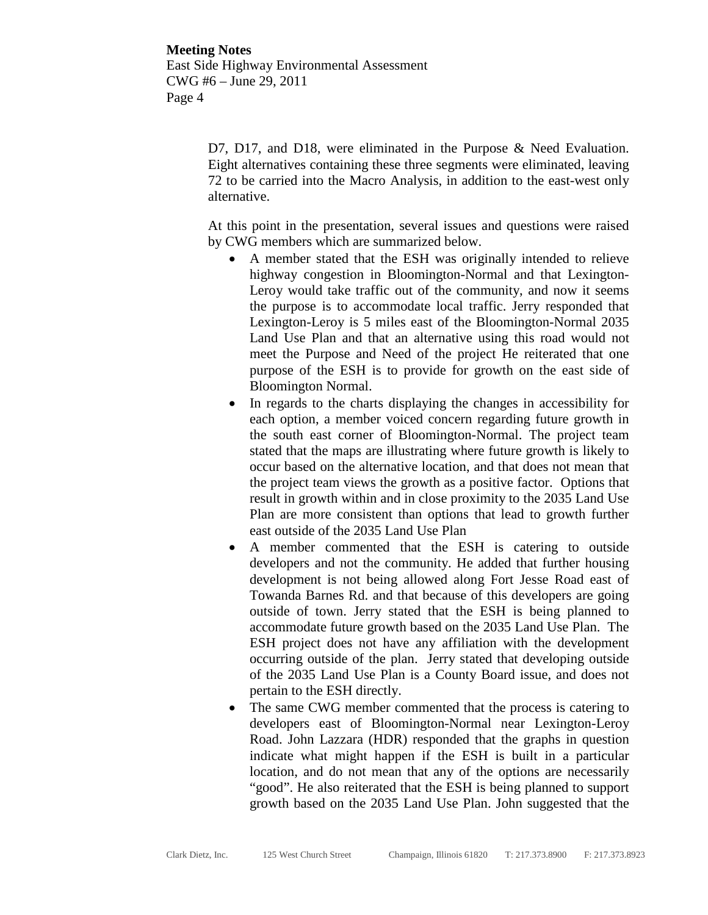D7, D17, and D18, were eliminated in the Purpose & Need Evaluation. Eight alternatives containing these three segments were eliminated, leaving 72 to be carried into the Macro Analysis, in addition to the east-west only alternative.

At this point in the presentation, several issues and questions were raised by CWG members which are summarized below.

- A member stated that the ESH was originally intended to relieve highway congestion in Bloomington-Normal and that Lexington-Leroy would take traffic out of the community, and now it seems the purpose is to accommodate local traffic. Jerry responded that Lexington-Leroy is 5 miles east of the Bloomington-Normal 2035 Land Use Plan and that an alternative using this road would not meet the Purpose and Need of the project He reiterated that one purpose of the ESH is to provide for growth on the east side of Bloomington Normal.
- In regards to the charts displaying the changes in accessibility for each option, a member voiced concern regarding future growth in the south east corner of Bloomington-Normal. The project team stated that the maps are illustrating where future growth is likely to occur based on the alternative location, and that does not mean that the project team views the growth as a positive factor. Options that result in growth within and in close proximity to the 2035 Land Use Plan are more consistent than options that lead to growth further east outside of the 2035 Land Use Plan
- A member commented that the ESH is catering to outside developers and not the community. He added that further housing development is not being allowed along Fort Jesse Road east of Towanda Barnes Rd. and that because of this developers are going outside of town. Jerry stated that the ESH is being planned to accommodate future growth based on the 2035 Land Use Plan. The ESH project does not have any affiliation with the development occurring outside of the plan. Jerry stated that developing outside of the 2035 Land Use Plan is a County Board issue, and does not pertain to the ESH directly.
- The same CWG member commented that the process is catering to developers east of Bloomington-Normal near Lexington-Leroy Road. John Lazzara (HDR) responded that the graphs in question indicate what might happen if the ESH is built in a particular location, and do not mean that any of the options are necessarily "good". He also reiterated that the ESH is being planned to support growth based on the 2035 Land Use Plan. John suggested that the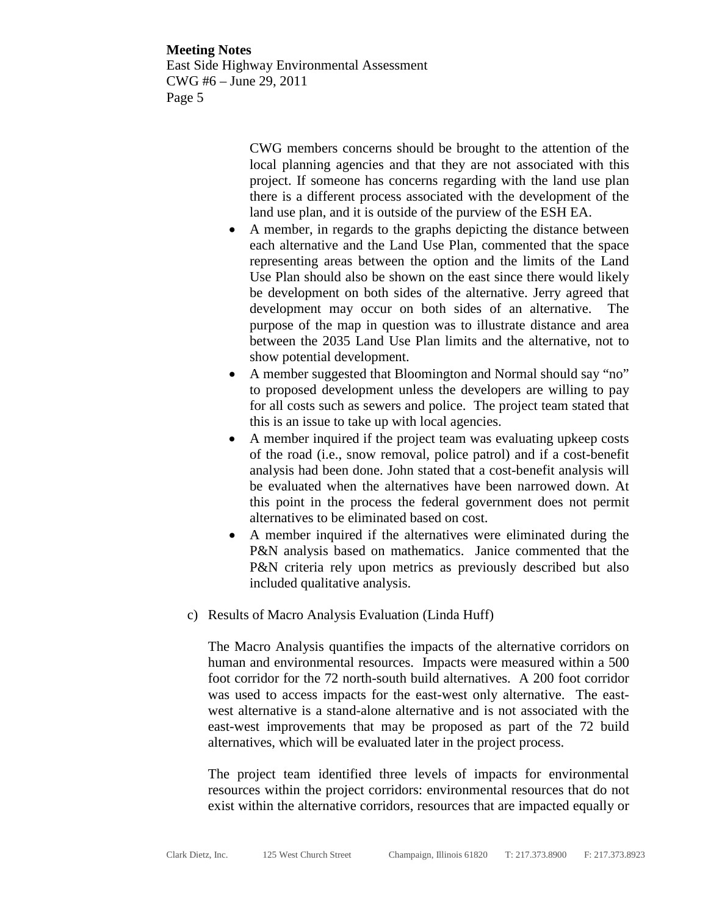CWG members concerns should be brought to the attention of the local planning agencies and that they are not associated with this project. If someone has concerns regarding with the land use plan there is a different process associated with the development of the land use plan, and it is outside of the purview of the ESH EA.

- A member, in regards to the graphs depicting the distance between each alternative and the Land Use Plan, commented that the space representing areas between the option and the limits of the Land Use Plan should also be shown on the east since there would likely be development on both sides of the alternative. Jerry agreed that development may occur on both sides of an alternative. The purpose of the map in question was to illustrate distance and area between the 2035 Land Use Plan limits and the alternative, not to show potential development.
- A member suggested that Bloomington and Normal should say "no" to proposed development unless the developers are willing to pay for all costs such as sewers and police. The project team stated that this is an issue to take up with local agencies.
- A member inquired if the project team was evaluating upkeep costs of the road (i.e., snow removal, police patrol) and if a cost-benefit analysis had been done. John stated that a cost-benefit analysis will be evaluated when the alternatives have been narrowed down. At this point in the process the federal government does not permit alternatives to be eliminated based on cost.
- A member inquired if the alternatives were eliminated during the P&N analysis based on mathematics. Janice commented that the P&N criteria rely upon metrics as previously described but also included qualitative analysis.
- c) Results of Macro Analysis Evaluation (Linda Huff)

The Macro Analysis quantifies the impacts of the alternative corridors on human and environmental resources. Impacts were measured within a 500 foot corridor for the 72 north-south build alternatives. A 200 foot corridor was used to access impacts for the east-west only alternative. The eastwest alternative is a stand-alone alternative and is not associated with the east-west improvements that may be proposed as part of the 72 build alternatives, which will be evaluated later in the project process.

The project team identified three levels of impacts for environmental resources within the project corridors: environmental resources that do not exist within the alternative corridors, resources that are impacted equally or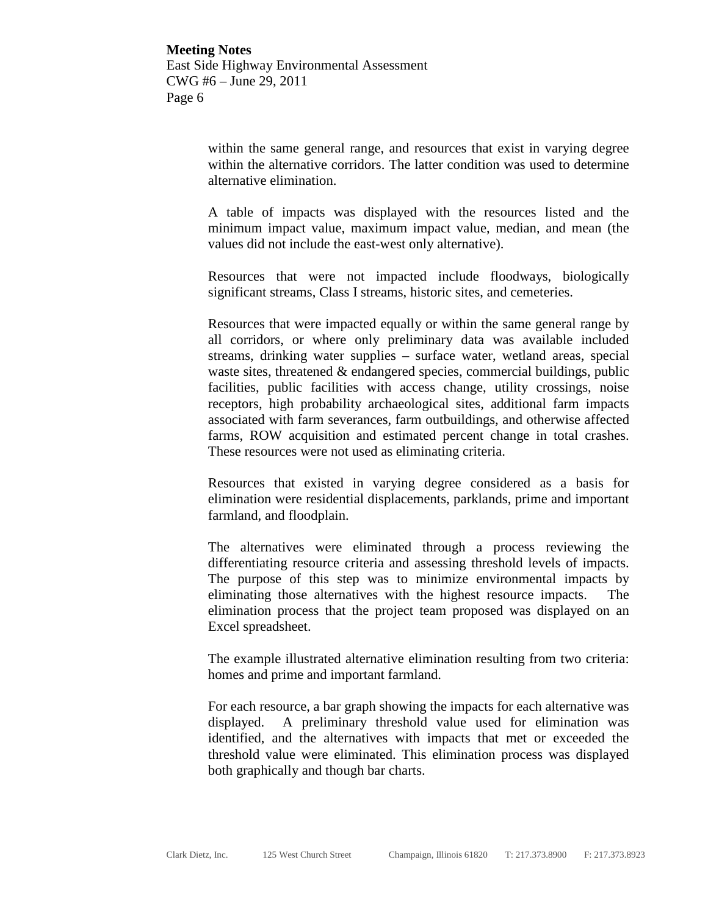> within the same general range, and resources that exist in varying degree within the alternative corridors. The latter condition was used to determine alternative elimination.

> A table of impacts was displayed with the resources listed and the minimum impact value, maximum impact value, median, and mean (the values did not include the east-west only alternative).

> Resources that were not impacted include floodways, biologically significant streams, Class I streams, historic sites, and cemeteries.

> Resources that were impacted equally or within the same general range by all corridors, or where only preliminary data was available included streams, drinking water supplies – surface water, wetland areas, special waste sites, threatened & endangered species, commercial buildings, public facilities, public facilities with access change, utility crossings, noise receptors, high probability archaeological sites, additional farm impacts associated with farm severances, farm outbuildings, and otherwise affected farms, ROW acquisition and estimated percent change in total crashes. These resources were not used as eliminating criteria.

> Resources that existed in varying degree considered as a basis for elimination were residential displacements, parklands, prime and important farmland, and floodplain.

> The alternatives were eliminated through a process reviewing the differentiating resource criteria and assessing threshold levels of impacts. The purpose of this step was to minimize environmental impacts by eliminating those alternatives with the highest resource impacts. The elimination process that the project team proposed was displayed on an Excel spreadsheet.

> The example illustrated alternative elimination resulting from two criteria: homes and prime and important farmland.

> For each resource, a bar graph showing the impacts for each alternative was displayed. A preliminary threshold value used for elimination was identified, and the alternatives with impacts that met or exceeded the threshold value were eliminated. This elimination process was displayed both graphically and though bar charts.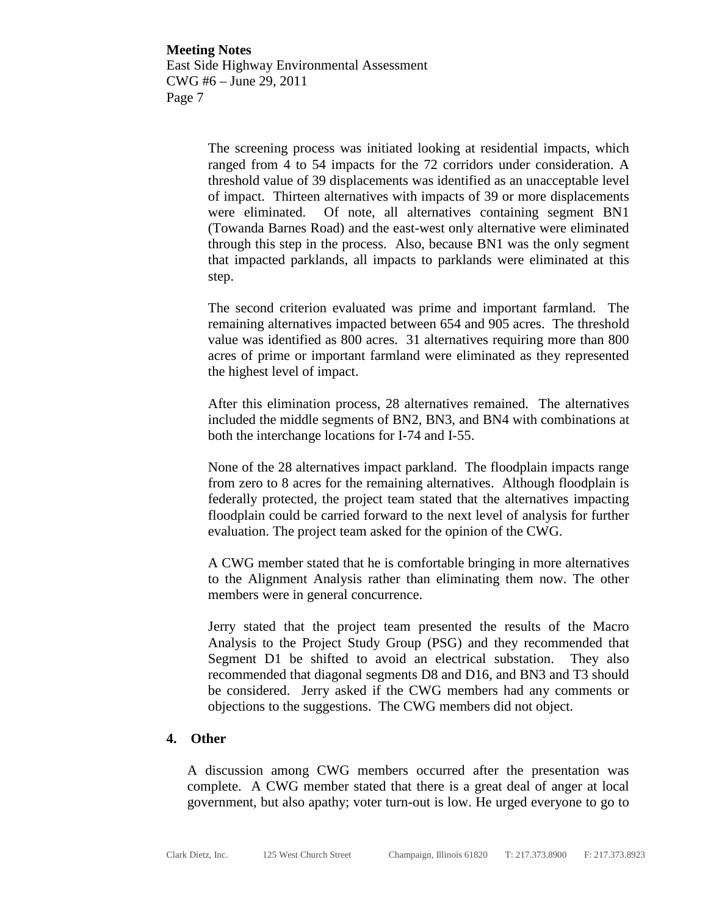> The screening process was initiated looking at residential impacts, which ranged from 4 to 54 impacts for the 72 corridors under consideration. A threshold value of 39 displacements was identified as an unacceptable level of impact. Thirteen alternatives with impacts of 39 or more displacements were eliminated. Of note, all alternatives containing segment BN1 (Towanda Barnes Road) and the east-west only alternative were eliminated through this step in the process. Also, because BN1 was the only segment that impacted parklands, all impacts to parklands were eliminated at this step.

> The second criterion evaluated was prime and important farmland. The remaining alternatives impacted between 654 and 905 acres. The threshold value was identified as 800 acres. 31 alternatives requiring more than 800 acres of prime or important farmland were eliminated as they represented the highest level of impact.

> After this elimination process, 28 alternatives remained. The alternatives included the middle segments of BN2, BN3, and BN4 with combinations at both the interchange locations for I-74 and I-55.

> None of the 28 alternatives impact parkland. The floodplain impacts range from zero to 8 acres for the remaining alternatives. Although floodplain is federally protected, the project team stated that the alternatives impacting floodplain could be carried forward to the next level of analysis for further evaluation. The project team asked for the opinion of the CWG.

> A CWG member stated that he is comfortable bringing in more alternatives to the Alignment Analysis rather than eliminating them now. The other members were in general concurrence.

> Jerry stated that the project team presented the results of the Macro Analysis to the Project Study Group (PSG) and they recommended that Segment D1 be shifted to avoid an electrical substation. They also recommended that diagonal segments D8 and D16, and BN3 and T3 should be considered. Jerry asked if the CWG members had any comments or objections to the suggestions. The CWG members did not object.

#### **4. Other**

A discussion among CWG members occurred after the presentation was complete. A CWG member stated that there is a great deal of anger at local government, but also apathy; voter turn-out is low. He urged everyone to go to